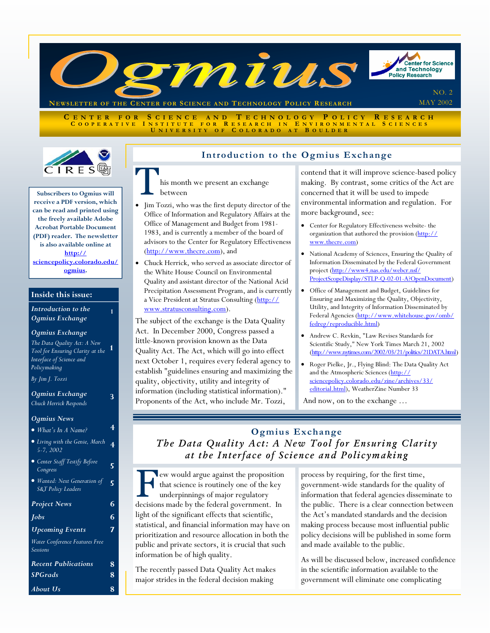

**C ENTER FOR S CIENCE AND T ECHNOLOGY P OLICY R ESEARCH C OOPERATIVE I NSTITUTE FOR R ESEARCH I N E NVIRONMENTAL S CIENCES U NIVERSITY O F C OLORADO A T B OULDER**



**Subscribers to Ogmius will receive a PDF version, which can be read and printed using the freely available Adobe Acrobat Portable Document (PDF) reader. The newsletter is also available online at http:// [sciencepolicy.colorado.edu/](http://sciencepolicy.colorado.edu/ogmius) ogmius.** 

#### **Inside this issue:**

*Introduction to the Ogmius Exchange* 

#### *Ogmius Exchange*

*The Data Quality Act: A New Tool for Ensuring Clarity at the Interface of Science and Policymaking*  **1** 

**1** 

**3** 

**4** 

**5** 

**5** 

*By Jim J. Tozzi* 

*Ogmius Exchange Chuck Herrick Responds* 

#### *Ogmius News*

- *What's In A Name?*
- *Living with the Genie, March 5-7, 2002*  **4**
- *Center Staff Testify Before Congress*
- *Wanted: Next Generation of S&T Policy Leaders*

| <b>Project News</b>                               |   |
|---------------------------------------------------|---|
| <i><b>Jobs</b></i>                                | 6 |
| <b>Upcoming Events</b>                            | 7 |
| Water Conference Features Free<br><b>Sessions</b> |   |
| <b>Recent Publications</b>                        | 8 |
| <b>SPGrads</b>                                    | 8 |
| About Us                                          |   |

#### **Introduction to the Ogmius Exchange**

- his month we present an exchange between
- Jim Tozzi, who was the first deputy director of the Office of Information and Regulatory Affairs at the Office of Management and Budget from 1981- 1983, and is currently a member of the board of advisors to the Center for Regulatory Effectiveness [\(http://www.thecre.com\),](http://www.thecre.com) and
- Chuck Herrick, who served as associate director of the White House Council on Environmental Quality and assistant director of the National Acid Precipitation Assessment Program, and is currently [a Vice President at Stratus Consulting \(http://](http://www.stratusconsulting.com) www.stratusconsulting.com).

The subject of the exchange is the Data Quality Act. In December 2000, Congress passed a little-known provision known as the Data Quality Act. The Act, which will go into effect next October 1, requires every federal agency to establish "guidelines ensuring and maximizing the quality, objectivity, utility and integrity of information (including statistical information)." Proponents of the Act, who include Mr. Tozzi,

contend that it will improve science-based policy making. By contrast, some critics of the Act are concerned that it will be used to impede environmental information and regulation. For more background, see:

- Center for Regulatory Effectiveness website- the [organization that authored the provision \(http://](http://www.thecre.com) www.thecre.com)
- National Academy of Sciences, Ensuring the Quality of Information Disseminated by the Federal Government project (http://www4.nas.edu/webcr.nsf/ [ProjectScopeDisplay/STLP-Q-02-01-A?OpenDocument\)](http://www4.nas.edu/webcr.nsf/ProjectScopeDisplay/STLP-Q-02-01-A?OpenDocument)
- Office of Management and Budget, Guidelines for Ensuring and Maximizing the Quality, Objectivity, Utility, and Integrity of Information Disseminated by [Federal Agencies \(http://www.whitehouse.gov/omb/](http://www.whitehouse.gov/omb/fedreg/reproducible.html) fedreg/reproducible.html)
- Andrew C. Revkin, "Law Revises Standards for Scientific Study," New York Times March 21, 2002 [\(http://www.nytimes.com/2002/03/21/politics/21DATA.html\)](http://www.nytimes.com/2002/03/21/politics/21DATA.html)
- Roger Pielke, Jr., Flying Blind: The Data Quality Act and the Atmospheric Sciences (http:// [sciencepolicy.colorado.edu/zine/archives/33/](http://sciencepolicy.colorado.edu/zine/archives/33/editorial.html) editorial.html), WeatherZine Number 33

And now, on to the exchange …

# **Ogmius Exchange**  *The Data Quality Act: A New Tool for Ensuring Clarity at the Interface of Sc ience and Policymaking*

**New would argue against the proposition** that science is routinely one of the key underpinnings of major regulatory decisions made by the federal government. In light of the significant effects that scientific, statistical, and financial information may have on prioritization and resource allocation in both the public and private sectors, it is crucial that such information be of high quality.

The recently passed Data Quality Act makes major strides in the federal decision making

process by requiring, for the first time, government-wide standards for the quality of information that federal agencies disseminate to the public. There is a clear connection between the Act's mandated standards and the decision making process because most influential public policy decisions will be published in some form and made available to the public.

As will be discussed below, increased confidence in the scientific information available to the government will eliminate one complicating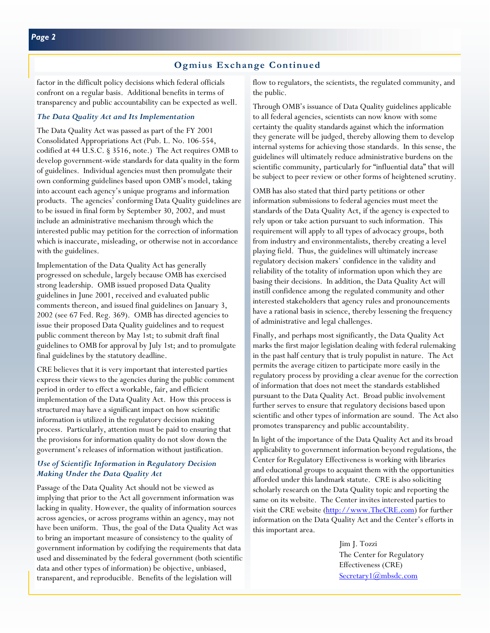### **Ogmius Exchange Continued**

factor in the difficult policy decisions which federal officials confront on a regular basis. Additional benefits in terms of transparency and public accountability can be expected as well.

#### *The Data Quality Act and Its Implementation*

The Data Quality Act was passed as part of the FY 2001 Consolidated Appropriations Act (Pub. L. No. 106-554, codified at 44 U.S.C. § 3516, note.) The Act requires OMB to develop government-wide standards for data quality in the form of guidelines. Individual agencies must then promulgate their own conforming guidelines based upon OMB's model, taking into account each agency's unique programs and information products. The agencies' conforming Data Quality guidelines are to be issued in final form by September 30, 2002, and must include an administrative mechanism through which the interested public may petition for the correction of information which is inaccurate, misleading, or otherwise not in accordance with the guidelines.

Implementation of the Data Quality Act has generally progressed on schedule, largely because OMB has exercised strong leadership. OMB issued proposed Data Quality guidelines in June 2001, received and evaluated public comments thereon, and issued final guidelines on January 3, 2002 (see 67 Fed. Reg. 369). OMB has directed agencies to issue their proposed Data Quality guidelines and to request public comment thereon by May 1st; to submit draft final guidelines to OMB for approval by July 1st; and to promulgate final guidelines by the statutory deadline.

CRE believes that it is very important that interested parties express their views to the agencies during the public comment period in order to effect a workable, fair, and efficient implementation of the Data Quality Act. How this process is structured may have a significant impact on how scientific information is utilized in the regulatory decision making process. Particularly, attention must be paid to ensuring that the provisions for information quality do not slow down the government's releases of information without justification.

#### *Use of Scientific Information in Regulatory Decision Making Under the Data Quality Act*

Passage of the Data Quality Act should not be viewed as implying that prior to the Act all government information was lacking in quality. However, the quality of information sources across agencies, or across programs within an agency, may not have been uniform. Thus, the goal of the Data Quality Act was to bring an important measure of consistency to the quality of government information by codifying the requirements that data used and disseminated by the federal government (both scientific data and other types of information) be objective, unbiased, transparent, and reproducible. Benefits of the legislation will

flow to regulators, the scientists, the regulated community, and the public.

Through OMB's issuance of Data Quality guidelines applicable to all federal agencies, scientists can now know with some certainty the quality standards against which the information they generate will be judged, thereby allowing them to develop internal systems for achieving those standards. In this sense, the guidelines will ultimately reduce administrative burdens on the scientific community, particularly for "influential data" that will be subject to peer review or other forms of heightened scrutiny.

OMB has also stated that third party petitions or other information submissions to federal agencies must meet the standards of the Data Quality Act, if the agency is expected to rely upon or take action pursuant to such information. This requirement will apply to all types of advocacy groups, both from industry and environmentalists, thereby creating a level playing field. Thus, the guidelines will ultimately increase regulatory decision makers' confidence in the validity and reliability of the totality of information upon which they are basing their decisions. In addition, the Data Quality Act will instill confidence among the regulated community and other interested stakeholders that agency rules and pronouncements have a rational basis in science, thereby lessening the frequency of administrative and legal challenges.

Finally, and perhaps most significantly, the Data Quality Act marks the first major legislation dealing with federal rulemaking in the past half century that is truly populist in nature. The Act permits the average citizen to participate more easily in the regulatory process by providing a clear avenue for the correction of information that does not meet the standards established pursuant to the Data Quality Act. Broad public involvement further serves to ensure that regulatory decisions based upon scientific and other types of information are sound. The Act also promotes transparency and public accountability.

In light of the importance of the Data Quality Act and its broad applicability to government information beyond regulations, the Center for Regulatory Effectiveness is working with libraries and educational groups to acquaint them with the opportunities afforded under this landmark statute. CRE is also soliciting scholarly research on the Data Quality topic and reporting the same on its website. The Center invites interested parties to visit the CRE website [\(http://www.TheCRE.com\)](http://www.TheCRE.com) for further information on the Data Quality Act and the Center's efforts in this important area.

> Jim J. Tozzi The Center for Regulatory Effectiveness (CRE) [Secretary1@mbsdc.com](mailto:Secretary1@mbsdc.com)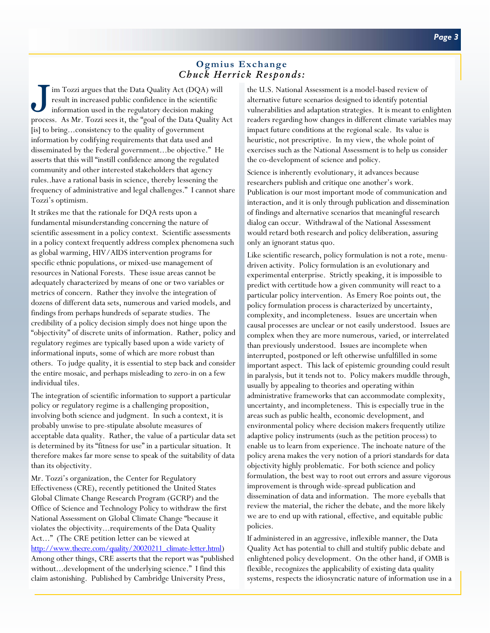### **Ogmius Exchange**  *Chuck Herrick Responds:*

J im Tozzi argues that the Data Quality Act (DQA) will<br>result in increased public confidence in the scientific<br>information used in the regulatory decision making result in increased public confidence in the scientific information used in the regulatory decision making process. As Mr. Tozzi sees it, the "goal of the Data Quality Act [is] to bring...consistency to the quality of government information by codifying requirements that data used and disseminated by the Federal government...be objective." He asserts that this will "instill confidence among the regulated community and other interested stakeholders that agency rules..have a rational basis in science, thereby lessening the frequency of administrative and legal challenges." I cannot share Tozzi's optimism.

It strikes me that the rationale for DQA rests upon a fundamental misunderstanding concerning the nature of scientific assessment in a policy context. Scientific assessments in a policy context frequently address complex phenomena such as global warming, HIV/AIDS intervention programs for specific ethnic populations, or mixed-use management of resources in National Forests. These issue areas cannot be adequately characterized by means of one or two variables or metrics of concern. Rather they involve the integration of dozens of different data sets, numerous and varied models, and findings from perhaps hundreds of separate studies. The credibility of a policy decision simply does not hinge upon the "objectivity" of discrete units of information. Rather, policy and regulatory regimes are typically based upon a wide variety of informational inputs, some of which are more robust than others. To judge quality, it is essential to step back and consider the entire mosaic, and perhaps misleading to zero-in on a few individual tiles.

The integration of scientific information to support a particular policy or regulatory regime is a challenging proposition, involving both science and judgment. In such a context, it is probably unwise to pre-stipulate absolute measures of acceptable data quality. Rather, the value of a particular data set is determined by its "fitness for use" in a particular situation. It therefore makes far more sense to speak of the suitability of data than its objectivity.

Mr. Tozzi's organization, the Center for Regulatory Effectiveness (CRE), recently petitioned the United States Global Climate Change Research Program (GCRP) and the Office of Science and Technology Policy to withdraw the first National Assessment on Global Climate Change "because it violates the objectivity...requirements of the Data Quality Act..." (The CRE petition letter can be viewed at http://www.thecre.com/quality/20020211\_climate-letter.html) Among other things, CRE asserts that the report was "published without...development of the underlying science." I find this claim astonishing. Published by Cambridge University Press,

the U.S. National Assessment is a model-based review of alternative future scenarios designed to identify potential vulnerabilities and adaptation strategies. It is meant to enlighten readers regarding how changes in different climate variables may impact future conditions at the regional scale. Its value is heuristic, not prescriptive. In my view, the whole point of exercises such as the National Assessment is to help us consider the co-development of science and policy.

Science is inherently evolutionary, it advances because researchers publish and critique one another's work. Publication is our most important mode of communication and interaction, and it is only through publication and dissemination of findings and alternative scenarios that meaningful research dialog can occur. Withdrawal of the National Assessment would retard both research and policy deliberation, assuring only an ignorant status quo.

Like scientific research, policy formulation is not a rote, menudriven activity. Policy formulation is an evolutionary and experimental enterprise. Strictly speaking, it is impossible to predict with certitude how a given community will react to a particular policy intervention. As Emery Roe points out, the policy formulation process is characterized by uncertainty, complexity, and incompleteness. Issues are uncertain when causal processes are unclear or not easily understood. Issues are complex when they are more numerous, varied, or interrelated than previously understood. Issues are incomplete when interrupted, postponed or left otherwise unfulfilled in some important aspect. This lack of epistemic grounding could result in paralysis, but it tends not to. Policy makers muddle through, usually by appealing to theories and operating within administrative frameworks that can accommodate complexity, uncertainty, and incompleteness. This is especially true in the areas such as public health, economic development, and environmental policy where decision makers frequently utilize adaptive policy instruments (such as the petition process) to enable us to learn from experience. The inchoate nature of the policy arena makes the very notion of a priori standards for data objectivity highly problematic. For both science and policy formulation, the best way to root out errors and assure vigorous improvement is through wide-spread publication and dissemination of data and information. The more eyeballs that review the material, the richer the debate, and the more likely we are to end up with rational, effective, and equitable public policies.

If administered in an aggressive, inflexible manner, the Data Quality Act has potential to chill and stultify public debate and enlightened policy development. On the other hand, if OMB is flexible, recognizes the applicability of existing data quality systems, respects the idiosyncratic nature of information use in a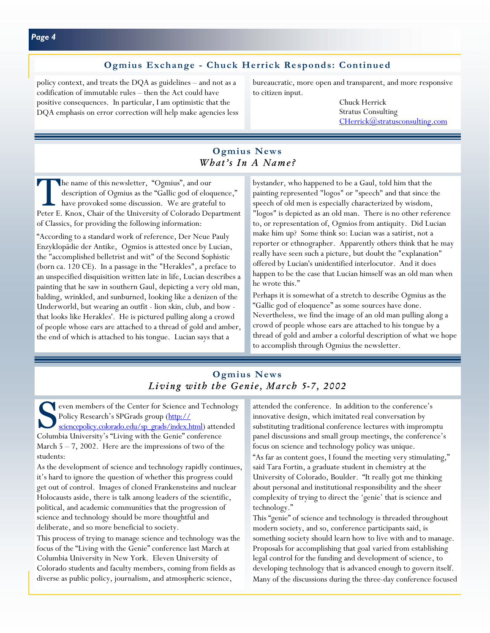### **Ogmius Exchange - Chuck Herrick Responds: Continued**

policy context, and treats the DQA as guidelines – and not as a codification of immutable rules – then the Act could have positive consequences. In particular, I am optimistic that the DQA emphasis on error correction will help make agencies less bureaucratic, more open and transparent, and more responsive to citizen input.

> Chuck Herrick Stratus Consulting CHerrick(*a*)stratusconsulting.com

## **Ogmius News**  *What's In A Name?*

The name of this newsletter, "Ogmius", and our description of Ogmius as the "Gallic god of eloquence," have provoked some discussion. We are grateful to Peter E. Knox, Chair of the University of Colorado Department of Classics, for providing the following information:

"According to a standard work of reference, Der Neue Pauly Enzyklopädie der Antike, Ogmios is attested once by Lucian, the "accomplished belletrist and wit" of the Second Sophistic (born ca. 120 CE). In a passage in the "Herakles", a preface to an unspecified disquisition written late in life, Lucian describes a painting that he saw in southern Gaul, depicting a very old man, balding, wrinkled, and sunburned, looking like a denizen of the Underworld, but wearing an outfit - lion skin, club, and bow that looks like Herakles'. He is pictured pulling along a crowd of people whose ears are attached to a thread of gold and amber, the end of which is attached to his tongue. Lucian says that a

bystander, who happened to be a Gaul, told him that the painting represented "logos" or "speech" and that since the speech of old men is especially characterized by wisdom, "logos" is depicted as an old man. There is no other reference to, or representation of, Ogmios from antiquity. Did Lucian make him up? Some think so: Lucian was a satirist, not a reporter or ethnographer. Apparently others think that he may really have seen such a picture, but doubt the "explanation" offered by Lucian's unidentified interlocutor. And it does happen to be the case that Lucian himself was an old man when he wrote this."

Perhaps it is somewhat of a stretch to describe Ogmius as the "Gallic god of eloquence" as some sources have done. Nevertheless, we find the image of an old man pulling along a crowd of people whose ears are attached to his tongue by a thread of gold and amber a colorful description of what we hope to accomplish through Ogmius the newsletter.

# **Ogmius News**  *Living with the Genie, March 5-7, 2002*

S even members of the Center for Science and Technology<br>
Policy Research's SPGrads group (http://<br>
<u>sciencepolicy.colorado.edu/sp\_grads/index.html</u>) attended Policy Research's SPGrads group (http:// Columbia University's "Living with the Genie" conference March  $5 - 7$ , 2002. Here are the impressions of two of the students:

As the development of science and technology rapidly continues, it's hard to ignore the question of whether this progress could get out of control. Images of cloned Frankensteins and nuclear Holocausts aside, there is talk among leaders of the scientific, political, and academic communities that the progression of science and technology should be more thoughtful and deliberate, and so more beneficial to society.

This process of trying to manage science and technology was the focus of the "Living with the Genie" conference last March at Columbia University in New York. Eleven University of Colorado students and faculty members, coming from fields as diverse as public policy, journalism, and atmospheric science,

attended the conference. In addition to the conference's innovative design, which imitated real conversation by substituting traditional conference lectures with impromptu panel discussions and small group meetings, the conference's focus on science and technology policy was unique. "As far as content goes, I found the meeting very stimulating," said Tara Fortin, a graduate student in chemistry at the University of Colorado, Boulder. "It really got me thinking about personal and institutional responsibility and the sheer complexity of trying to direct the 'genie' that is science and technology."

This "genie" of science and technology is threaded throughout modern society, and so, conference participants said, is something society should learn how to live with and to manage. Proposals for accomplishing that goal varied from establishing legal control for the funding and development of science, to developing technology that is advanced enough to govern itself. Many of the discussions during the three-day conference focused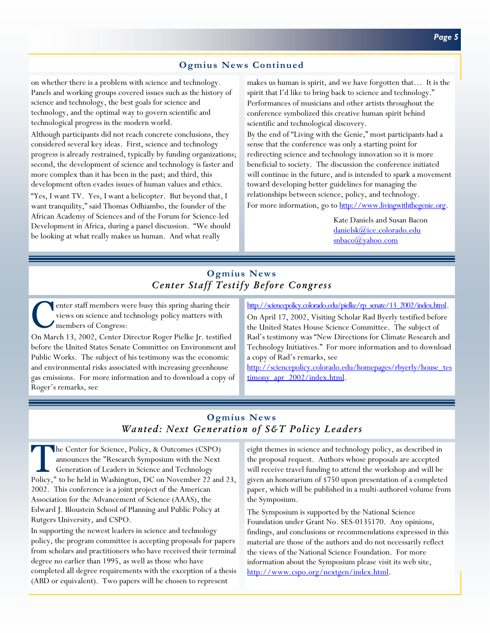### **Ogmius News Continued**

on whether there is a problem with science and technology. Panels and working groups covered issues such as the history of science and technology, the best goals for science and technology, and the optimal way to govern scientific and technological progress in the modern world.

Although participants did not reach concrete conclusions, they considered several key ideas. First, science and technology progress is already restrained, typically by funding organizations; second, the development of science and technology is faster and more complex than it has been in the past; and third, this development often evades issues of human values and ethics.

"Yes, I want TV. Yes, I want a helicopter. But beyond that, I want tranquility," said Thomas Odhiambo, the founder of the African Academy of Sciences and of the Forum for Science-led Development in Africa, during a panel discussion. "We should be looking at what really makes us human. And what really

makes us human is spirit, and we have forgotten that… It is the spirit that I'd like to bring back to science and technology." Performances of musicians and other artists throughout the conference symbolized this creative human spirit behind scientific and technological discovery.

By the end of "Living with the Genie," most participants had a sense that the conference was only a starting point for redirecting science and technology innovation so it is more beneficial to society. The discussion the conference initiated will continue in the future, and is intended to spark a movement toward developing better guidelines for managing the relationships between science, policy, and technology. For more information, go to http://www.livingwiththegenie.org.

> Kate Daniels and Susan Bacon [danielsk@ice.colorado.edu](mailto:danielsk@ice.colorado.edu) [snbaco@yahoo.com](mailto:snbaco@yahoo.com)

# **Ogmius News**  *Center Staff Testify Before Congress*

**C** enter staff members were busy this spring sharing their views on science and technology policy matters with members of Congress: views on science and technology policy matters with members of Congress:

On March 13, 2002, Center Director Roger Pielke Jr. testified before the United States Senate Committee on Environment and Public Works. The subject of his testimony was the economic and environmental risks associated with increasing greenhouse gas emissions. For more information and to download a copy of Roger's remarks, see

http://sciencepolicy.colorado.edu/pielke/rp\_senate/13\_2002/index.html. On April 17, 2002, Visiting Scholar Rad Byerly testified before the United States House Science Committee. The subject of Rad's testimony was "New Directions for Climate Research and Technology Initiatives." For more information and to download a copy of Rad's remarks, see

[http://sciencepolicy.colorado.edu/homepages/rbyerly/house\\_tes](http://sciencepolicy.colorado.edu/homepages/rbyerly/house_testimony_apr_2002/index.html) timony apr 2002/index.html.

# **Ogmius News**  *Wanted: Next Generation of S&T Policy Leaders*

The Center for Science, Policy, & Outcomes (CSPO) announces the "Research Symposium with the Next Generation of Leaders in Science and Technology Policy," to be held in Washington, DC on November 22 and 23, 2002. This conference is a joint project of the American Association for the Advancement of Science (AAAS), the Edward J. Bloustein School of Planning and Public Policy at Rutgers University, and CSPO.

In supporting the newest leaders in science and technology policy, the program committee is accepting proposals for papers from scholars and practitioners who have received their terminal degree no earlier than 1995, as well as those who have completed all degree requirements with the exception of a thesis (ABD or equivalent). Two papers will be chosen to represent

eight themes in science and technology policy, as described in the proposal request. Authors whose proposals are accepted will receive travel funding to attend the workshop and will be given an honorarium of \$750 upon presentation of a completed paper, which will be published in a multi-authored volume from the Symposium.

The Symposium is supported by the National Science Foundation under Grant No. SES-0135170. Any opinions, findings, and conclusions or recommendations expressed in this material are those of the authors and do not necessarily reflect the views of the National Science Foundation. For more information about the Symposium please visit its web site, [http://www.cspo.org/nextgen/index.html.](http://www.cspo.org/nextgen/index.html)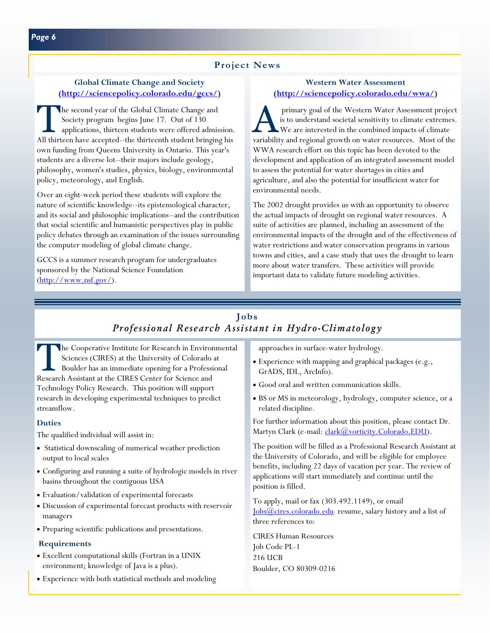## **Project News**

### **Global Climate Change and Society [\(http://sciencepolicy.colorado.edu/gccs/\)](http://sciencepolicy.colorado.edu/gccs/)**

The second year of the Global Climate Change and Society program begins June 17. Out of 130 applications, thirteen students were offered admission. All thirteen have accepted--the thirteenth student bringing his own funding from Queens University in Ontario. This year's students are a diverse lot--their majors include geology, philosophy, women's studies, physics, biology, environmental policy, meteorology, and English.

Over an eight-week period these students will explore the nature of scientific knowledge--its epistemological character, and its social and philosophic implications--and the contribution that social scientific and humanistic perspectives play in public policy debates through an examination of the issues surrounding the computer modeling of global climate change.

GCCS is a summer research program for undergraduates sponsored by the National Science Foundation  $(\frac{http://www.nsf.gov/}{)$ .

### **Western Water Assessment [\(http://sciencepolicy.colorado.edu/wwa/\)](http://sciencepolicy.colorado.edu/wwa/)**

primary goal of the Western Water Assessment project is to understand societal sensitivity to climate extremes. We are interested in the combined impacts of climate variability and regional growth on water resources. Most of the WWA research effort on this topic has been devoted to the development and application of an integrated assessment model to assess the potential for water shortages in cities and agriculture, and also the potential for insufficient water for environmental needs.

The 2002 drought provides us with an opportunity to observe the actual impacts of drought on regional water resources. A suite of activities are planned, including an assessment of the environmental impacts of the drought and of the effectiveness of water restrictions and water conservation programs in various towns and cities, and a case study that uses the drought to learn more about water transfers. These activities will provide important data to validate future modeling activities.

# **Jobs**  *Professional Research Assistant in Hydro-Climatology*

The Cooperative Institute for Research in Environmental<br>
Sciences (CIRES) at the University of Colorado at<br>
Boulder has an immediate opening for a Professional<br>
Bosearch Assistant at the CIRES Center for Science and Sciences (CIRES) at the University of Colorado at Research Assistant at the CIRES Center for Science and Technology Policy Research. This position will support research in developing experimental techniques to predict streamflow.

#### **Duties**

The qualified individual will assist in:

- Statistical downscaling of numerical weather prediction output to local scales
- Configuring and running a suite of hydrologic models in river basins throughout the contiguous USA
- Evaluation/validation of experimental forecasts
- Discussion of experimental forecast products with reservoir managers
- Preparing scientific publications and presentations.

#### **Requirements**

- Excellent computational skills (Fortran in a UNIX environment; knowledge of Java is a plus).
- Experience with both statistical methods and modeling

approaches in surface-water hydrology.

- Experience with mapping and graphical packages (e.g., GrADS, IDL, ArcInfo).
- Good oral and written communication skills.
- BS or MS in meteorology, hydrology, computer science, or a related discipline.

For further information about this position, please contact Dr. Martyn Clark (e-mail[: clark@vorticity.Colorado.EDU\).](mailto:clark@vorticity.Colorado.EDU)

The position will be filled as a Professional Research Assistant at the University of Colorado, and will be eligible for employee benefits, including 22 days of vacation per year. The review of applications will start immediately and continue until the position is filled.

To apply, mail or fax (303.492.1149), or email [Jobs@cires.colorado.edu](mailto:Jobs@cires.colorado.edu) resume, salary history and a list of three references to:

CIRES Human Resources Job Code PL-1 216 UCB Boulder, CO 80309-0216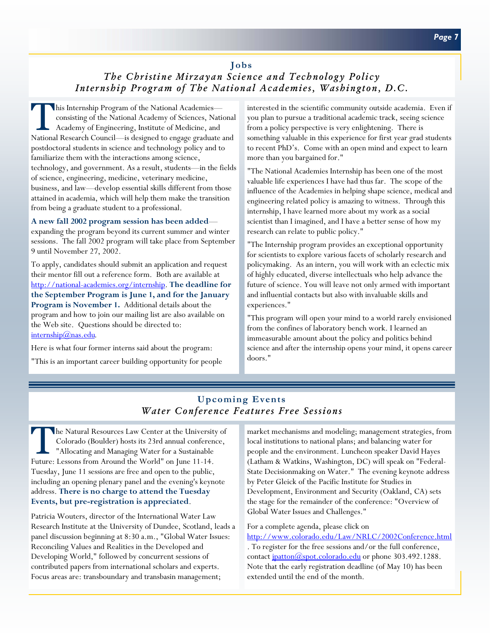## **Jobs**  *The Christine Mirzayan Science and Technology Policy Internship Program of The National Academies, Washington, D.C.*

This Internship Program of the National Academies consisting of the National Academy of Sciences, National Academy of Engineering, Institute of Medicine, and National Research Council—is designed to engage graduate and postdoctoral students in science and technology policy and to familiarize them with the interactions among science, technology, and government. As a result, students—in the fields of science, engineering, medicine, veterinary medicine, business, and law—develop essential skills different from those attained in academia, which will help them make the transition from being a graduate student to a professional.

#### **A new fall 2002 program session has been added**—

expanding the program beyond its current summer and winter sessions. The fall 2002 program will take place from September 9 until November 27, 2002.

To apply, candidates should submit an application and request their mentor fill out a reference form. Both are available at [http://national-academies.org/internship.](http://national-academies.org/internship) **The deadline for the September Program is June 1, and for the January Program is November 1.** Additional details about the program and how to join our mailing list are also available on the Web site. Questions should be directed to:  $internship@nas.edu.$ 

Here is what four former interns said about the program:

"This is an important career building opportunity for people

interested in the scientific community outside academia. Even if you plan to pursue a traditional academic track, seeing science from a policy perspective is very enlightening. There is something valuable in this experience for first year grad students to recent PhD's. Come with an open mind and expect to learn more than you bargained for."

"The National Academies Internship has been one of the most valuable life experiences I have had thus far. The scope of the influence of the Academies in helping shape science, medical and engineering related policy is amazing to witness. Through this internship, I have learned more about my work as a social scientist than I imagined, and I have a better sense of how my research can relate to public policy."

"The Internship program provides an exceptional opportunity for scientists to explore various facets of scholarly research and policymaking. As an intern, you will work with an eclectic mix of highly educated, diverse intellectuals who help advance the future of science. You will leave not only armed with important and influential contacts but also with invaluable skills and experiences."

"This program will open your mind to a world rarely envisioned from the confines of laboratory bench work. I learned an immeasurable amount about the policy and politics behind science and after the internship opens your mind, it opens career doors."

# **Upcoming Events**  *Water Conference Features Free Sessions*

The Natural Resources Law Center at the University of Colorado (Boulder) hosts its 23rd annual conference, "Allocating and Managing Water for a Sustainable Future: Lessons from Around the World" on June 11-14. Tuesday, June 11 sessions are free and open to the public, including an opening plenary panel and the evening's keynote address. **There is no charge to attend the Tuesday Events, but pre-registration is appreciated**.

Patricia Wouters, director of the International Water Law Research Institute at the University of Dundee, Scotland, leads a panel discussion beginning at 8:30 a.m., "Global Water Issues: Reconciling Values and Realities in the Developed and Developing World," followed by concurrent sessions of contributed papers from international scholars and experts. Focus areas are: transboundary and transbasin management;

market mechanisms and modeling; management strategies, from local institutions to national plans; and balancing water for people and the environment. Luncheon speaker David Hayes (Latham & Watkins, Washington, DC) will speak on "Federal-State Decisionmaking on Water." The evening keynote address by Peter Gleick of the Pacific Institute for Studies in Development, Environment and Security (Oakland, CA) sets the stage for the remainder of the conference: "Overview of Global Water Issues and Challenges."

#### For a complete agenda, please click on

<http://www.colorado.edu/Law/NRLC/2002Conference.html> . To register for the free sessions and/or the full conference, contact <u>ipatton(a)spot.colorado.edu</u> or phone 303.492.1288. Note that the early registration deadline (of May 10) has been extended until the end of the month.